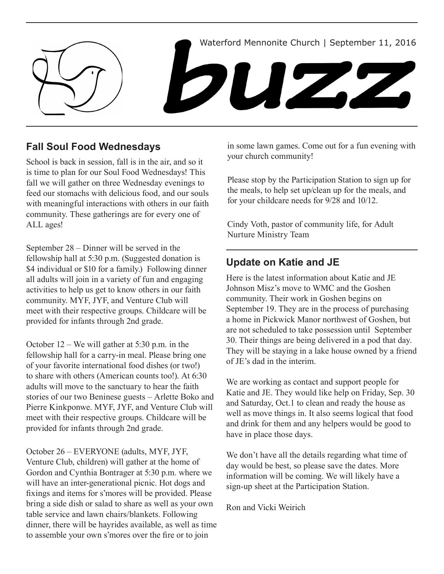

# **Fall Soul Food Wednesdays**

School is back in session, fall is in the air, and so it is time to plan for our Soul Food Wednesdays! This fall we will gather on three Wednesday evenings to feed our stomachs with delicious food, and our souls with meaningful interactions with others in our faith community. These gatherings are for every one of ALL ages!

September 28 – Dinner will be served in the fellowship hall at 5:30 p.m. (Suggested donation is \$4 individual or \$10 for a family.) Following dinner all adults will join in a variety of fun and engaging activities to help us get to know others in our faith community. MYF, JYF, and Venture Club will meet with their respective groups. Childcare will be provided for infants through 2nd grade.

October 12 – We will gather at 5:30 p.m. in the fellowship hall for a carry-in meal. Please bring one of your favorite international food dishes (or two!) to share with others (American counts too!). At 6:30 adults will move to the sanctuary to hear the faith stories of our two Beninese guests – Arlette Boko and Pierre Kinkponwe. MYF, JYF, and Venture Club will meet with their respective groups. Childcare will be provided for infants through 2nd grade.

October 26 – EVERYONE (adults, MYF, JYF, Venture Club, children) will gather at the home of Gordon and Cynthia Bontrager at 5:30 p.m. where we will have an inter-generational picnic. Hot dogs and fixings and items for s'mores will be provided. Please bring a side dish or salad to share as well as your own table service and lawn chairs/blankets. Following dinner, there will be hayrides available, as well as time to assemble your own s'mores over the fire or to join

in some lawn games. Come out for a fun evening with your church community!

Please stop by the Participation Station to sign up for the meals, to help set up/clean up for the meals, and for your childcare needs for 9/28 and 10/12.

Cindy Voth, pastor of community life, for Adult Nurture Ministry Team

# **Update on Katie and JE**

Here is the latest information about Katie and JE Johnson Misz's move to WMC and the Goshen community. Their work in Goshen begins on September 19. They are in the process of purchasing a home in Pickwick Manor northwest of Goshen, but are not scheduled to take possession until September 30. Their things are being delivered in a pod that day. They will be staying in a lake house owned by a friend of JE's dad in the interim.

We are working as contact and support people for Katie and JE. They would like help on Friday, Sep. 30 and Saturday, Oct.1 to clean and ready the house as well as move things in. It also seems logical that food and drink for them and any helpers would be good to have in place those days.

We don't have all the details regarding what time of day would be best, so please save the dates. More information will be coming. We will likely have a sign-up sheet at the Participation Station.

Ron and Vicki Weirich